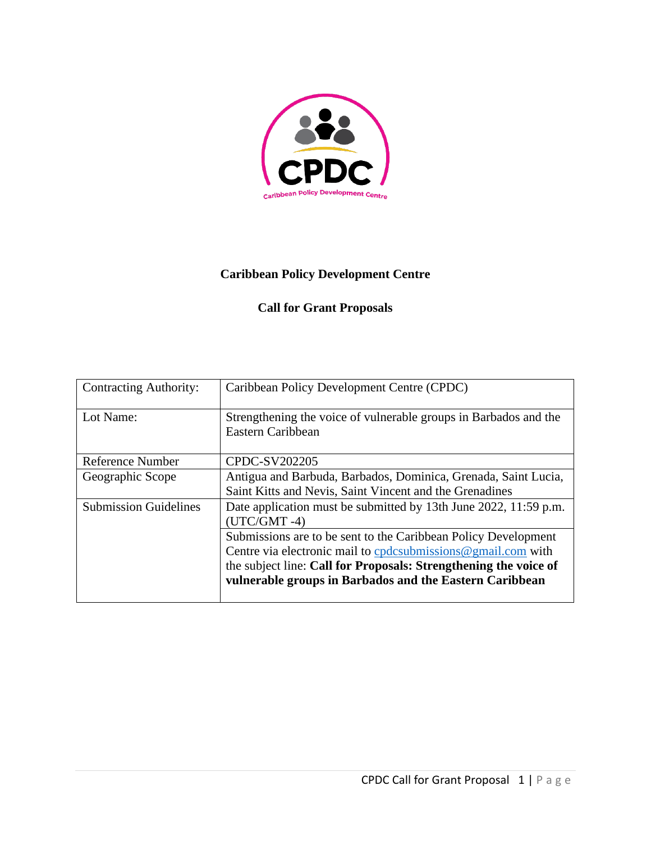

## **Caribbean Policy Development Centre**

## **Call for Grant Proposals**

| <b>Contracting Authority:</b> | Caribbean Policy Development Centre (CPDC)                                                                                                                                                                                                                        |
|-------------------------------|-------------------------------------------------------------------------------------------------------------------------------------------------------------------------------------------------------------------------------------------------------------------|
| Lot Name:                     | Strengthening the voice of vulnerable groups in Barbados and the<br>Eastern Caribbean                                                                                                                                                                             |
| Reference Number              | CPDC-SV202205                                                                                                                                                                                                                                                     |
| Geographic Scope              | Antigua and Barbuda, Barbados, Dominica, Grenada, Saint Lucia,<br>Saint Kitts and Nevis, Saint Vincent and the Grenadines                                                                                                                                         |
| <b>Submission Guidelines</b>  | Date application must be submitted by 13th June 2022, 11:59 p.m.<br>$(UTC/GMT -4)$                                                                                                                                                                                |
|                               | Submissions are to be sent to the Caribbean Policy Development<br>Centre via electronic mail to cpdcsubmissions $@$ gmail.com with<br>the subject line: Call for Proposals: Strengthening the voice of<br>vulnerable groups in Barbados and the Eastern Caribbean |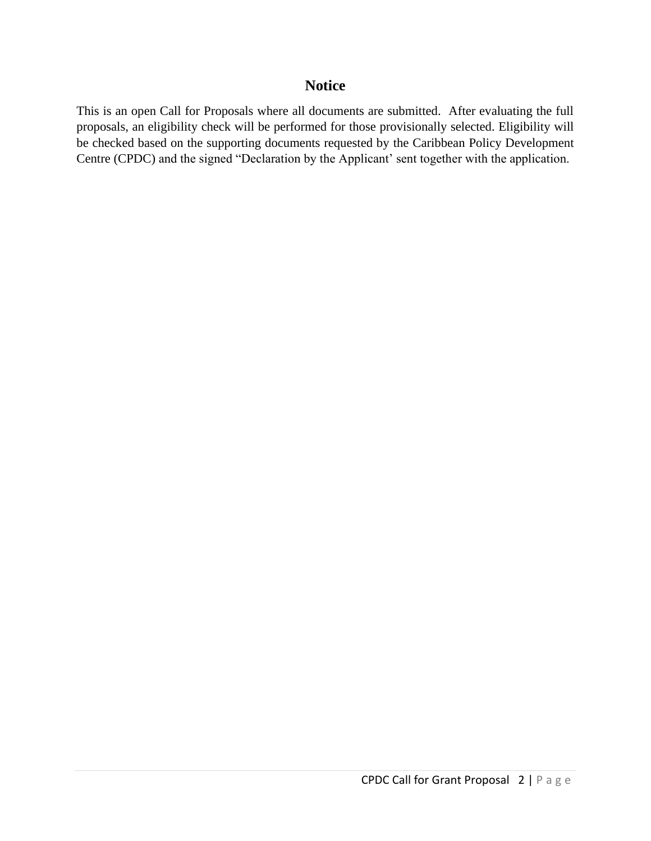## **Notice**

This is an open Call for Proposals where all documents are submitted. After evaluating the full proposals, an eligibility check will be performed for those provisionally selected. Eligibility will be checked based on the supporting documents requested by the Caribbean Policy Development Centre (CPDC) and the signed "Declaration by the Applicant' sent together with the application.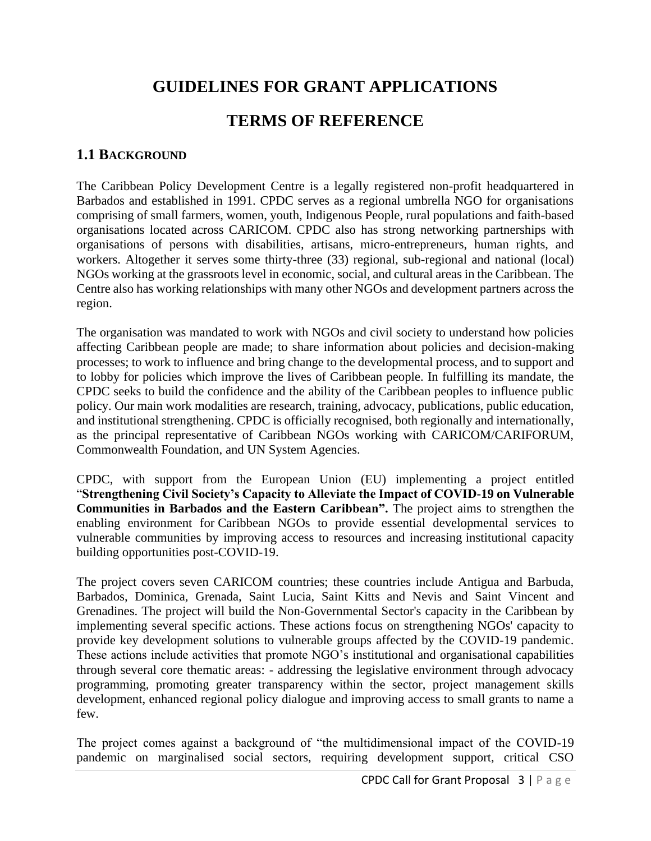# **GUIDELINES FOR GRANT APPLICATIONS**

## **TERMS OF REFERENCE**

## **1.1 BACKGROUND**

The Caribbean Policy Development Centre is a legally registered non-profit headquartered in Barbados and established in 1991. CPDC serves as a regional umbrella NGO for organisations comprising of small farmers, women, youth, Indigenous People, rural populations and faith-based organisations located across CARICOM. CPDC also has strong networking partnerships with organisations of persons with disabilities, artisans, micro-entrepreneurs, human rights, and workers. Altogether it serves some thirty-three (33) regional, sub-regional and national (local) NGOs working at the grassroots level in economic, social, and cultural areas in the Caribbean. The Centre also has working relationships with many other NGOs and development partners across the region.

The organisation was mandated to work with NGOs and civil society to understand how policies affecting Caribbean people are made; to share information about policies and decision-making processes; to work to influence and bring change to the developmental process, and to support and to lobby for policies which improve the lives of Caribbean people. In fulfilling its mandate, the CPDC seeks to build the confidence and the ability of the Caribbean peoples to influence public policy. Our main work modalities are research, training, advocacy, publications, public education, and institutional strengthening. CPDC is officially recognised, both regionally and internationally, as the principal representative of Caribbean NGOs working with CARICOM/CARIFORUM, Commonwealth Foundation, and UN System Agencies.

CPDC, with support from the European Union (EU) implementing a project entitled "**Strengthening Civil Society's Capacity to Alleviate the Impact of COVID-19 on Vulnerable Communities in Barbados and the Eastern Caribbean".** The project aims to strengthen the enabling environment for Caribbean NGOs to provide essential developmental services to vulnerable communities by improving access to resources and increasing institutional capacity building opportunities post-COVID-19.

The project covers seven CARICOM countries; these countries include Antigua and Barbuda, Barbados, Dominica, Grenada, Saint Lucia, Saint Kitts and Nevis and Saint Vincent and Grenadines. The project will build the Non-Governmental Sector's capacity in the Caribbean by implementing several specific actions. These actions focus on strengthening NGOs' capacity to provide key development solutions to vulnerable groups affected by the COVID-19 pandemic. These actions include activities that promote NGO's institutional and organisational capabilities through several core thematic areas: - addressing the legislative environment through advocacy programming, promoting greater transparency within the sector, project management skills development, enhanced regional policy dialogue and improving access to small grants to name a few.

The project comes against a background of "the multidimensional impact of the COVID-19 pandemic on marginalised social sectors, requiring development support, critical CSO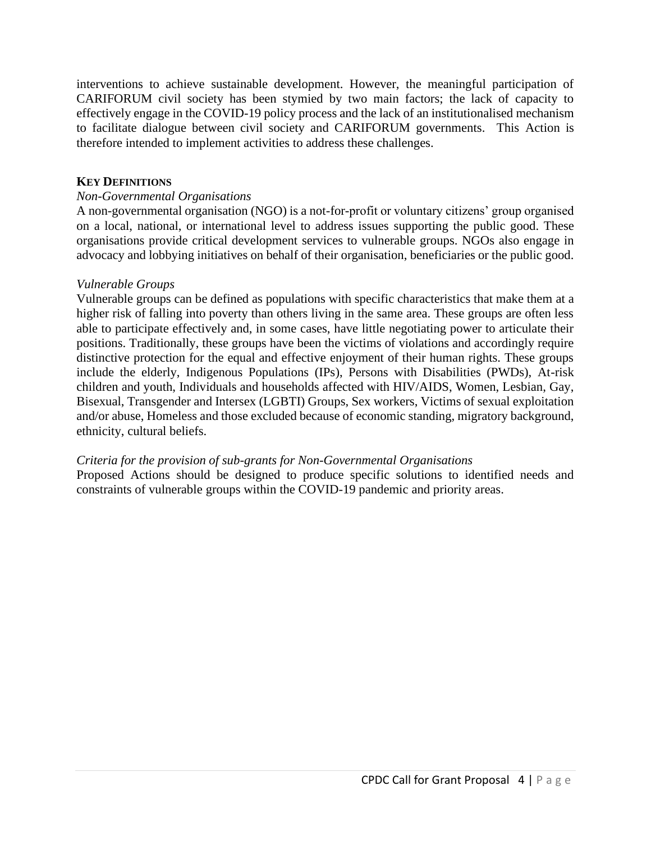interventions to achieve sustainable development. However, the meaningful participation of CARIFORUM civil society has been stymied by two main factors; the lack of capacity to effectively engage in the COVID-19 policy process and the lack of an institutionalised mechanism to facilitate dialogue between civil society and CARIFORUM governments. This Action is therefore intended to implement activities to address these challenges.

#### **KEY DEFINITIONS**

#### *Non-Governmental Organisations*

A non-governmental organisation (NGO) is a not-for-profit or voluntary citizens' group organised on a local, national, or international level to address issues supporting the public good. These organisations provide critical development services to vulnerable groups. NGOs also engage in advocacy and lobbying initiatives on behalf of their organisation, beneficiaries or the public good.

#### *Vulnerable Groups*

Vulnerable groups can be defined as populations with specific characteristics that make them at a higher risk of falling into poverty than others living in the same area. These groups are often less able to participate effectively and, in some cases, have little negotiating power to articulate their positions. Traditionally, these groups have been the victims of violations and accordingly require distinctive protection for the equal and effective enjoyment of their human rights. These groups include the elderly, Indigenous Populations (IPs), Persons with Disabilities (PWDs), At-risk children and youth, Individuals and households affected with HIV/AIDS, Women, Lesbian, Gay, Bisexual, Transgender and Intersex (LGBTI) Groups, Sex workers, Victims of sexual exploitation and/or abuse, Homeless and those excluded because of economic standing, migratory background, ethnicity, cultural beliefs.

#### *Criteria for the provision of sub-grants for Non-Governmental Organisations*

Proposed Actions should be designed to produce specific solutions to identified needs and constraints of vulnerable groups within the COVID-19 pandemic and priority areas.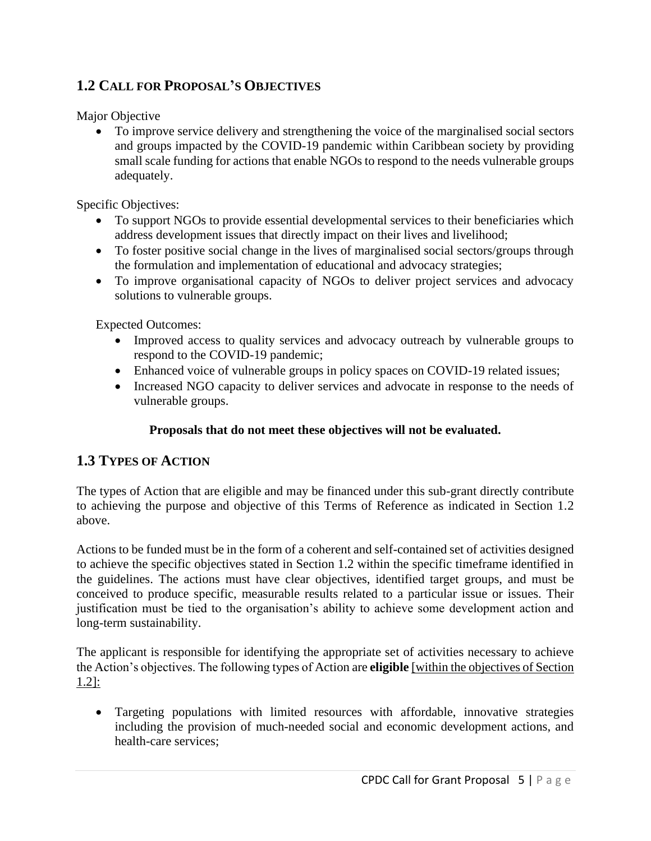## **1.2 CALL FOR PROPOSAL'S OBJECTIVES**

Major Objective

• To improve service delivery and strengthening the voice of the marginalised social sectors and groups impacted by the COVID-19 pandemic within Caribbean society by providing small scale funding for actions that enable NGOs to respond to the needs vulnerable groups adequately.

Specific Objectives:

- To support NGOs to provide essential developmental services to their beneficiaries which address development issues that directly impact on their lives and livelihood;
- To foster positive social change in the lives of marginalised social sectors/groups through the formulation and implementation of educational and advocacy strategies;
- To improve organisational capacity of NGOs to deliver project services and advocacy solutions to vulnerable groups.

Expected Outcomes:

- Improved access to quality services and advocacy outreach by vulnerable groups to respond to the COVID-19 pandemic;
- Enhanced voice of vulnerable groups in policy spaces on COVID-19 related issues;
- Increased NGO capacity to deliver services and advocate in response to the needs of vulnerable groups.

### **Proposals that do not meet these objectives will not be evaluated.**

## **1.3 TYPES OF ACTION**

The types of Action that are eligible and may be financed under this sub-grant directly contribute to achieving the purpose and objective of this Terms of Reference as indicated in Section 1.2 above.

Actions to be funded must be in the form of a coherent and self-contained set of activities designed to achieve the specific objectives stated in Section 1.2 within the specific timeframe identified in the guidelines. The actions must have clear objectives, identified target groups, and must be conceived to produce specific, measurable results related to a particular issue or issues. Their justification must be tied to the organisation's ability to achieve some development action and long-term sustainability.

The applicant is responsible for identifying the appropriate set of activities necessary to achieve the Action's objectives. The following types of Action are **eligible** [within the objectives of Section 1.2]:

• Targeting populations with limited resources with affordable, innovative strategies including the provision of much-needed social and economic development actions, and health-care services;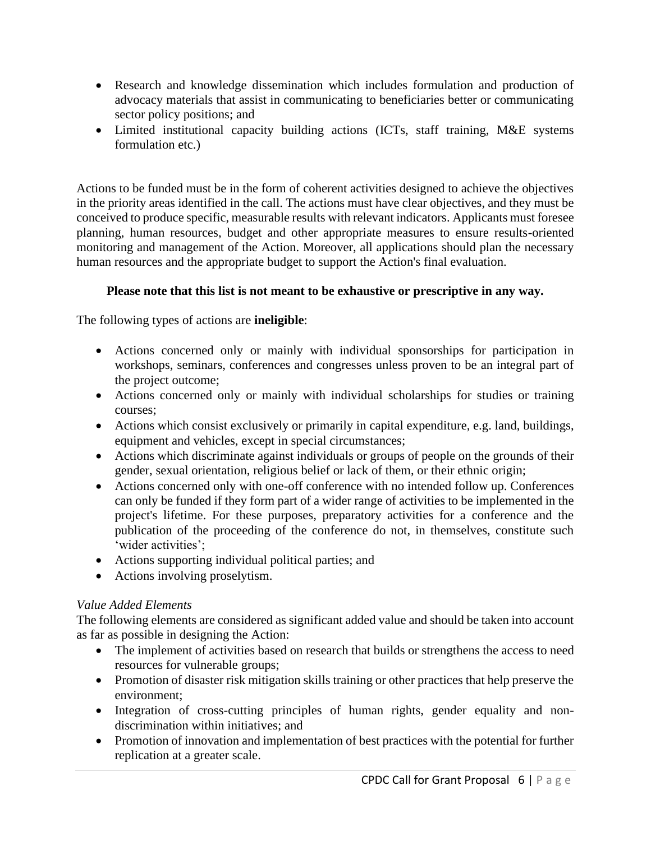- Research and knowledge dissemination which includes formulation and production of advocacy materials that assist in communicating to beneficiaries better or communicating sector policy positions; and
- Limited institutional capacity building actions (ICTs, staff training, M&E systems formulation etc.)

Actions to be funded must be in the form of coherent activities designed to achieve the objectives in the priority areas identified in the call. The actions must have clear objectives, and they must be conceived to produce specific, measurable results with relevant indicators. Applicants must foresee planning, human resources, budget and other appropriate measures to ensure results-oriented monitoring and management of the Action. Moreover, all applications should plan the necessary human resources and the appropriate budget to support the Action's final evaluation.

## **Please note that this list is not meant to be exhaustive or prescriptive in any way.**

The following types of actions are **ineligible**:

- Actions concerned only or mainly with individual sponsorships for participation in workshops, seminars, conferences and congresses unless proven to be an integral part of the project outcome;
- Actions concerned only or mainly with individual scholarships for studies or training courses;
- Actions which consist exclusively or primarily in capital expenditure, e.g. land, buildings, equipment and vehicles, except in special circumstances;
- Actions which discriminate against individuals or groups of people on the grounds of their gender, sexual orientation, religious belief or lack of them, or their ethnic origin;
- Actions concerned only with one-off conference with no intended follow up. Conferences can only be funded if they form part of a wider range of activities to be implemented in the project's lifetime. For these purposes, preparatory activities for a conference and the publication of the proceeding of the conference do not, in themselves, constitute such 'wider activities';
- Actions supporting individual political parties; and
- Actions involving proselytism.

## *Value Added Elements*

The following elements are considered as significant added value and should be taken into account as far as possible in designing the Action:

- The implement of activities based on research that builds or strengthens the access to need resources for vulnerable groups;
- Promotion of disaster risk mitigation skills training or other practices that help preserve the environment;
- Integration of cross-cutting principles of human rights, gender equality and nondiscrimination within initiatives; and
- Promotion of innovation and implementation of best practices with the potential for further replication at a greater scale.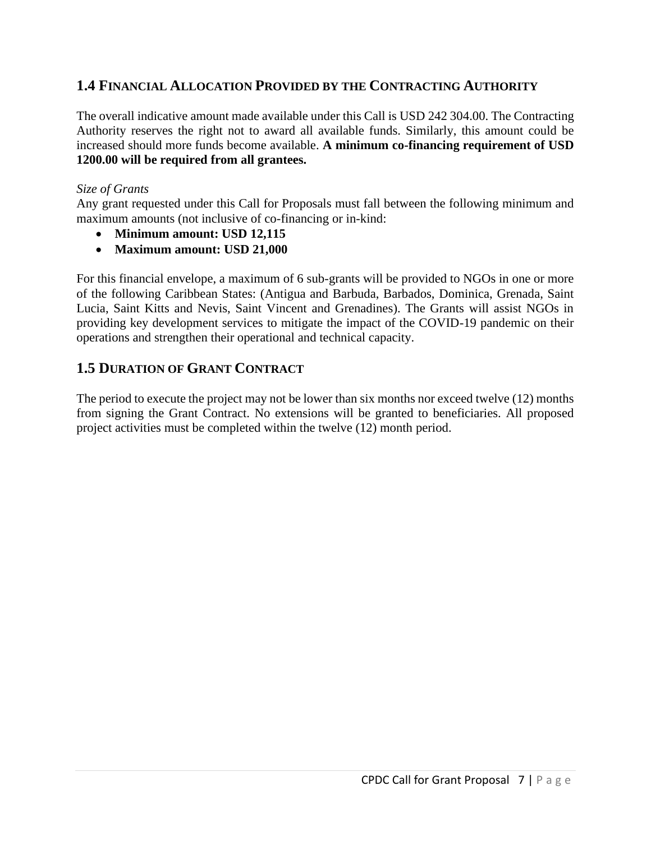## **1.4 FINANCIAL ALLOCATION PROVIDED BY THE CONTRACTING AUTHORITY**

The overall indicative amount made available under this Call is USD 242 304.00. The Contracting Authority reserves the right not to award all available funds. Similarly, this amount could be increased should more funds become available. **A minimum co-financing requirement of USD 1200.00 will be required from all grantees.**

#### *Size of Grants*

Any grant requested under this Call for Proposals must fall between the following minimum and maximum amounts (not inclusive of co-financing or in-kind:

- **Minimum amount: USD 12,115**
- **Maximum amount: USD 21,000**

For this financial envelope, a maximum of 6 sub-grants will be provided to NGOs in one or more of the following Caribbean States: (Antigua and Barbuda, Barbados, Dominica, Grenada, Saint Lucia, Saint Kitts and Nevis, Saint Vincent and Grenadines). The Grants will assist NGOs in providing key development services to mitigate the impact of the COVID-19 pandemic on their operations and strengthen their operational and technical capacity.

## **1.5 DURATION OF GRANT CONTRACT**

The period to execute the project may not be lower than six months nor exceed twelve (12) months from signing the Grant Contract. No extensions will be granted to beneficiaries. All proposed project activities must be completed within the twelve (12) month period.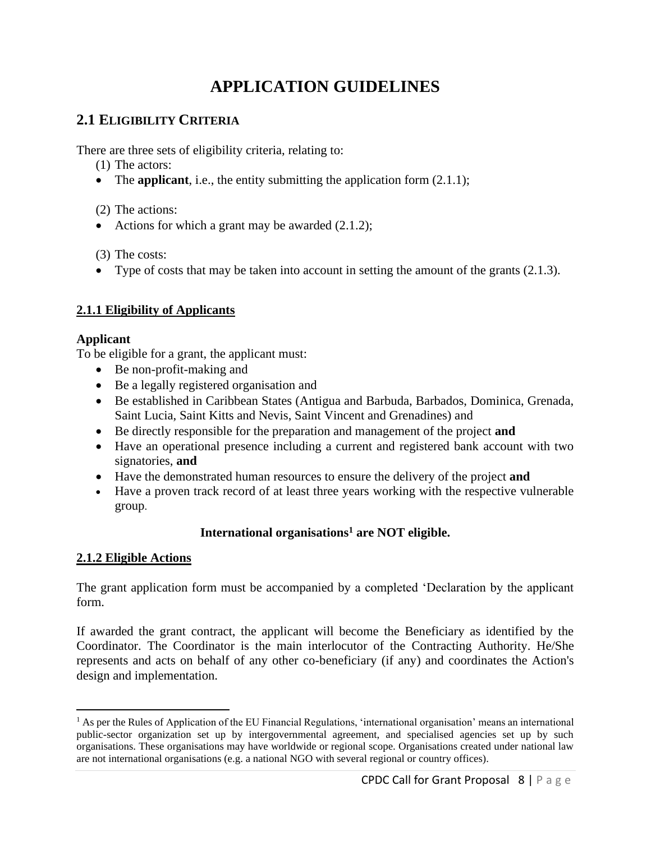# **APPLICATION GUIDELINES**

## **2.1 ELIGIBILITY CRITERIA**

There are three sets of eligibility criteria, relating to:

- (1) The actors:
- The **applicant**, i.e., the entity submitting the application form  $(2.1.1)$ ;

(2) The actions:

• Actions for which a grant may be awarded  $(2.1.2)$ ;

(3) The costs:

• Type of costs that may be taken into account in setting the amount of the grants  $(2.1.3)$ .

## **2.1.1 Eligibility of Applicants**

#### **Applicant**

To be eligible for a grant, the applicant must:

- Be non-profit-making and
- Be a legally registered organisation and
- Be established in Caribbean States (Antigua and Barbuda, Barbados, Dominica, Grenada, Saint Lucia, Saint Kitts and Nevis, Saint Vincent and Grenadines) and
- Be directly responsible for the preparation and management of the project **and**
- Have an operational presence including a current and registered bank account with two signatories, **and**
- Have the demonstrated human resources to ensure the delivery of the project **and**
- Have a proven track record of at least three years working with the respective vulnerable group.

## **International organisations<sup>1</sup> are NOT eligible.**

### **2.1.2 Eligible Actions**

The grant application form must be accompanied by a completed 'Declaration by the applicant form.

If awarded the grant contract, the applicant will become the Beneficiary as identified by the Coordinator. The Coordinator is the main interlocutor of the Contracting Authority. He/She represents and acts on behalf of any other co-beneficiary (if any) and coordinates the Action's design and implementation.

 $<sup>1</sup>$  As per the Rules of Application of the EU Financial Regulations, 'international organisation' means an international</sup> public-sector organization set up by intergovernmental agreement, and specialised agencies set up by such organisations. These organisations may have worldwide or regional scope. Organisations created under national law are not international organisations (e.g. a national NGO with several regional or country offices).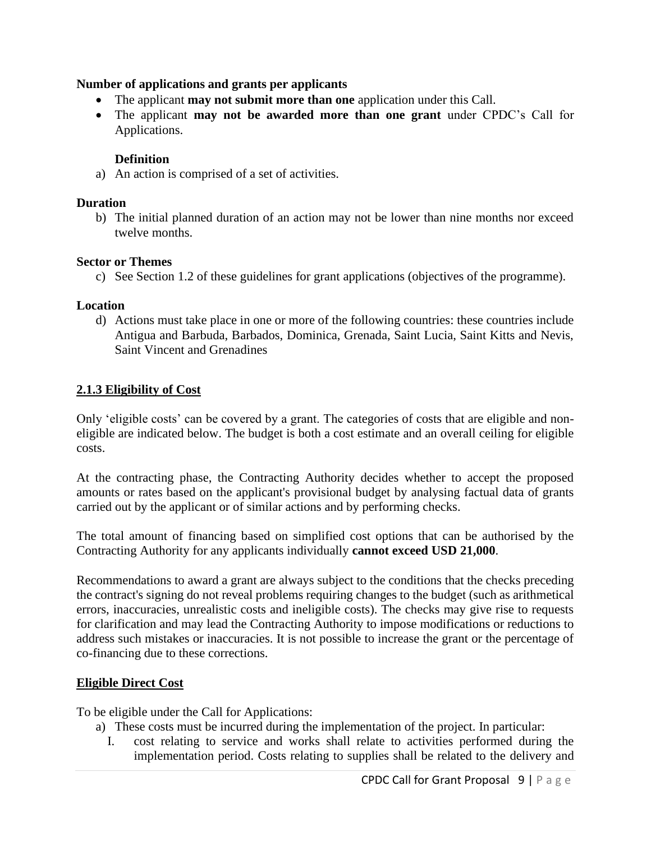#### **Number of applications and grants per applicants**

- The applicant **may not submit more than one** application under this Call.
- The applicant **may not be awarded more than one grant** under CPDC's Call for Applications.

#### **Definition**

a) An action is comprised of a set of activities.

#### **Duration**

b) The initial planned duration of an action may not be lower than nine months nor exceed twelve months.

#### **Sector or Themes**

c) See Section 1.2 of these guidelines for grant applications (objectives of the programme).

#### **Location**

d) Actions must take place in one or more of the following countries: these countries include Antigua and Barbuda, Barbados, Dominica, Grenada, Saint Lucia, Saint Kitts and Nevis, Saint Vincent and Grenadines

#### **2.1.3 Eligibility of Cost**

Only 'eligible costs' can be covered by a grant. The categories of costs that are eligible and noneligible are indicated below. The budget is both a cost estimate and an overall ceiling for eligible costs.

At the contracting phase, the Contracting Authority decides whether to accept the proposed amounts or rates based on the applicant's provisional budget by analysing factual data of grants carried out by the applicant or of similar actions and by performing checks.

The total amount of financing based on simplified cost options that can be authorised by the Contracting Authority for any applicants individually **cannot exceed USD 21,000**.

Recommendations to award a grant are always subject to the conditions that the checks preceding the contract's signing do not reveal problems requiring changes to the budget (such as arithmetical errors, inaccuracies, unrealistic costs and ineligible costs). The checks may give rise to requests for clarification and may lead the Contracting Authority to impose modifications or reductions to address such mistakes or inaccuracies. It is not possible to increase the grant or the percentage of co-financing due to these corrections.

### **Eligible Direct Cost**

To be eligible under the Call for Applications:

- a) These costs must be incurred during the implementation of the project. In particular:
	- I. cost relating to service and works shall relate to activities performed during the implementation period. Costs relating to supplies shall be related to the delivery and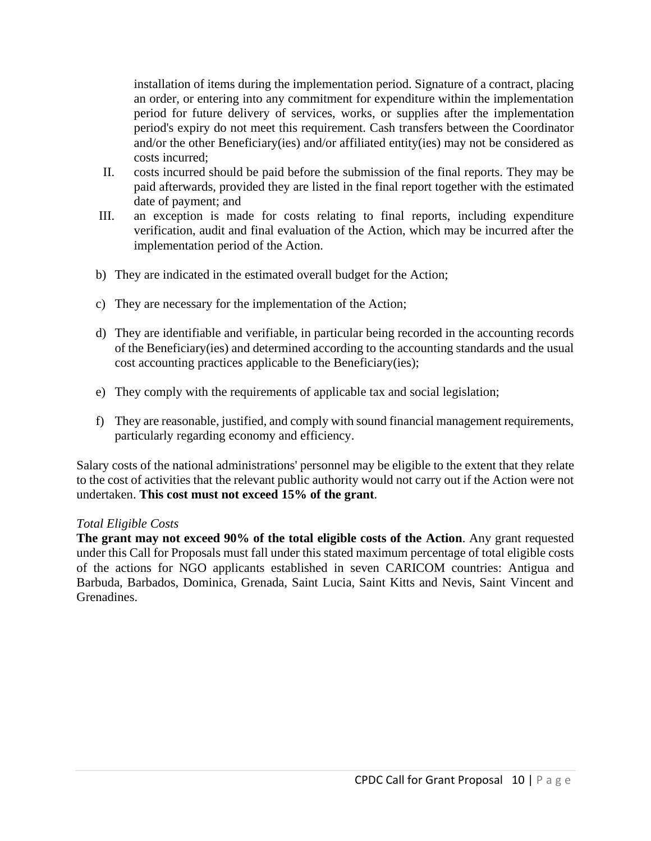installation of items during the implementation period. Signature of a contract, placing an order, or entering into any commitment for expenditure within the implementation period for future delivery of services, works, or supplies after the implementation period's expiry do not meet this requirement. Cash transfers between the Coordinator and/or the other Beneficiary(ies) and/or affiliated entity(ies) may not be considered as costs incurred;

- II. costs incurred should be paid before the submission of the final reports. They may be paid afterwards, provided they are listed in the final report together with the estimated date of payment; and
- III. an exception is made for costs relating to final reports, including expenditure verification, audit and final evaluation of the Action, which may be incurred after the implementation period of the Action.
- b) They are indicated in the estimated overall budget for the Action;
- c) They are necessary for the implementation of the Action;
- d) They are identifiable and verifiable, in particular being recorded in the accounting records of the Beneficiary(ies) and determined according to the accounting standards and the usual cost accounting practices applicable to the Beneficiary(ies);
- e) They comply with the requirements of applicable tax and social legislation;
- f) They are reasonable, justified, and comply with sound financial management requirements, particularly regarding economy and efficiency.

Salary costs of the national administrations' personnel may be eligible to the extent that they relate to the cost of activities that the relevant public authority would not carry out if the Action were not undertaken. **This cost must not exceed 15% of the grant**.

#### *Total Eligible Costs*

**The grant may not exceed 90% of the total eligible costs of the Action**. Any grant requested under this Call for Proposals must fall under this stated maximum percentage of total eligible costs of the actions for NGO applicants established in seven CARICOM countries: Antigua and Barbuda, Barbados, Dominica, Grenada, Saint Lucia, Saint Kitts and Nevis, Saint Vincent and Grenadines.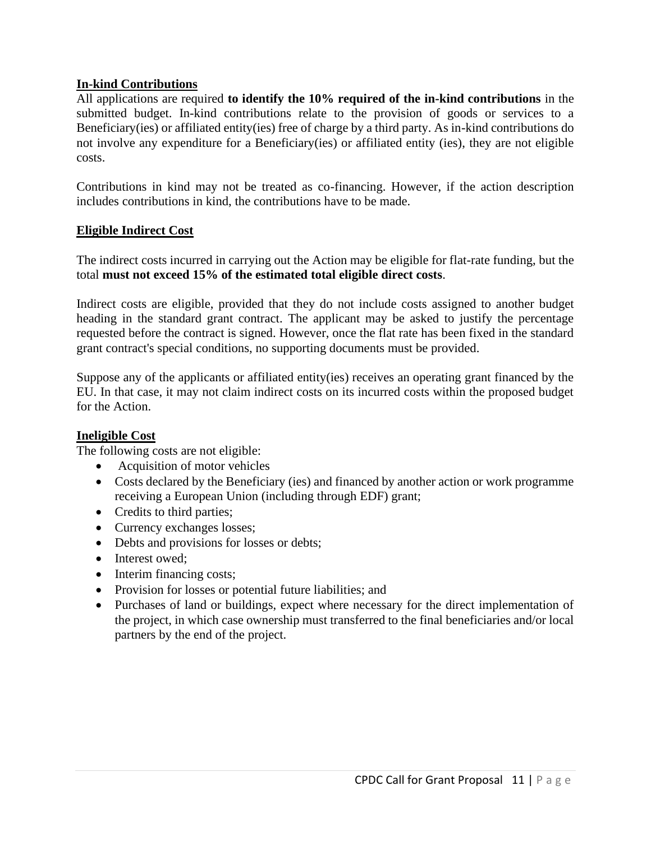#### **In-kind Contributions**

All applications are required **to identify the 10% required of the in-kind contributions** in the submitted budget. In-kind contributions relate to the provision of goods or services to a Beneficiary(ies) or affiliated entity(ies) free of charge by a third party. As in-kind contributions do not involve any expenditure for a Beneficiary(ies) or affiliated entity (ies), they are not eligible costs.

Contributions in kind may not be treated as co-financing. However, if the action description includes contributions in kind, the contributions have to be made.

#### **Eligible Indirect Cost**

The indirect costs incurred in carrying out the Action may be eligible for flat-rate funding, but the total **must not exceed 15% of the estimated total eligible direct costs**.

Indirect costs are eligible, provided that they do not include costs assigned to another budget heading in the standard grant contract. The applicant may be asked to justify the percentage requested before the contract is signed. However, once the flat rate has been fixed in the standard grant contract's special conditions, no supporting documents must be provided.

Suppose any of the applicants or affiliated entity(ies) receives an operating grant financed by the EU. In that case, it may not claim indirect costs on its incurred costs within the proposed budget for the Action.

#### **Ineligible Cost**

The following costs are not eligible:

- Acquisition of motor vehicles
- Costs declared by the Beneficiary (ies) and financed by another action or work programme receiving a European Union (including through EDF) grant;
- Credits to third parties;
- Currency exchanges losses;
- Debts and provisions for losses or debts;
- Interest owed;
- Interim financing costs;
- Provision for losses or potential future liabilities; and
- Purchases of land or buildings, expect where necessary for the direct implementation of the project, in which case ownership must transferred to the final beneficiaries and/or local partners by the end of the project.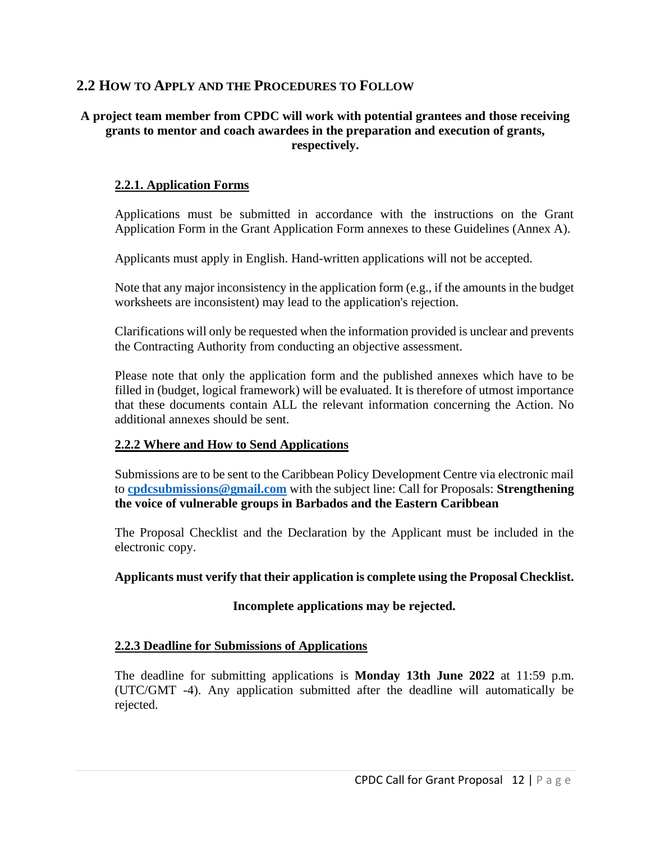## **2.2 HOW TO APPLY AND THE PROCEDURES TO FOLLOW**

#### **A project team member from CPDC will work with potential grantees and those receiving grants to mentor and coach awardees in the preparation and execution of grants, respectively.**

#### **2.2.1. Application Forms**

Applications must be submitted in accordance with the instructions on the Grant Application Form in the Grant Application Form annexes to these Guidelines (Annex A).

Applicants must apply in English. Hand-written applications will not be accepted.

Note that any major inconsistency in the application form (e.g., if the amounts in the budget worksheets are inconsistent) may lead to the application's rejection.

Clarifications will only be requested when the information provided is unclear and prevents the Contracting Authority from conducting an objective assessment.

Please note that only the application form and the published annexes which have to be filled in (budget, logical framework) will be evaluated. It is therefore of utmost importance that these documents contain ALL the relevant information concerning the Action. No additional annexes should be sent.

#### **2.2.2 Where and How to Send Applications**

Submissions are to be sent to the Caribbean Policy Development Centre via electronic mail to **[cpdcsubmissions@gmail.com](mailto:cpdcsubmissions@gmail.com)** with the subject line: Call for Proposals: **Strengthening the voice of vulnerable groups in Barbados and the Eastern Caribbean** 

The Proposal Checklist and the Declaration by the Applicant must be included in the electronic copy.

#### **Applicants must verify that their application is complete using the Proposal Checklist.**

#### **Incomplete applications may be rejected.**

#### **2.2.3 Deadline for Submissions of Applications**

The deadline for submitting applications is **Monday 13th June 2022** at 11:59 p.m. (UTC/GMT -4). Any application submitted after the deadline will automatically be rejected.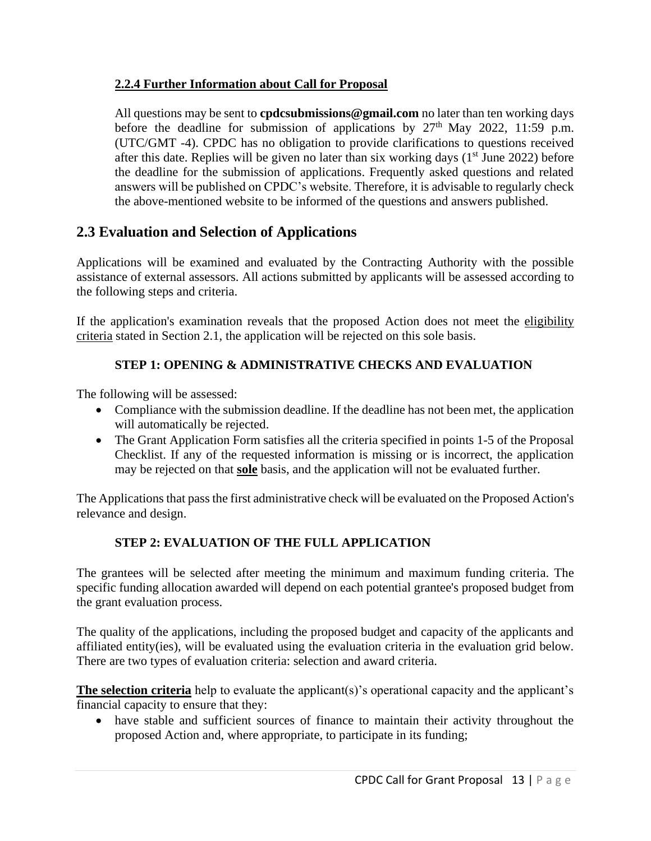## **2.2.4 Further Information about Call for Proposal**

All questions may be sent to **[cpdcsubmissions@gmail.com](mailto:cpdcsubmissions@gmail.com)** no later than ten working days before the deadline for submission of applications by  $27<sup>th</sup>$  May 2022, 11:59 p.m. (UTC/GMT -4). CPDC has no obligation to provide clarifications to questions received after this date. Replies will be given no later than six working days  $(1<sup>st</sup>$  June 2022) before the deadline for the submission of applications. Frequently asked questions and related answers will be published on CPDC's website. Therefore, it is advisable to regularly check the above-mentioned website to be informed of the questions and answers published.

## **2.3 Evaluation and Selection of Applications**

Applications will be examined and evaluated by the Contracting Authority with the possible assistance of external assessors. All actions submitted by applicants will be assessed according to the following steps and criteria.

If the application's examination reveals that the proposed Action does not meet the eligibility criteria stated in Section 2.1, the application will be rejected on this sole basis.

## **STEP 1: OPENING & ADMINISTRATIVE CHECKS AND EVALUATION**

The following will be assessed:

- Compliance with the submission deadline. If the deadline has not been met, the application will automatically be rejected.
- The Grant Application Form satisfies all the criteria specified in points 1-5 of the Proposal Checklist. If any of the requested information is missing or is incorrect, the application may be rejected on that **sole** basis, and the application will not be evaluated further.

The Applications that pass the first administrative check will be evaluated on the Proposed Action's relevance and design.

## **STEP 2: EVALUATION OF THE FULL APPLICATION**

The grantees will be selected after meeting the minimum and maximum funding criteria. The specific funding allocation awarded will depend on each potential grantee's proposed budget from the grant evaluation process.

The quality of the applications, including the proposed budget and capacity of the applicants and affiliated entity(ies), will be evaluated using the evaluation criteria in the evaluation grid below. There are two types of evaluation criteria: selection and award criteria.

**The selection criteria** help to evaluate the applicant(s)'s operational capacity and the applicant's financial capacity to ensure that they:

• have stable and sufficient sources of finance to maintain their activity throughout the proposed Action and, where appropriate, to participate in its funding;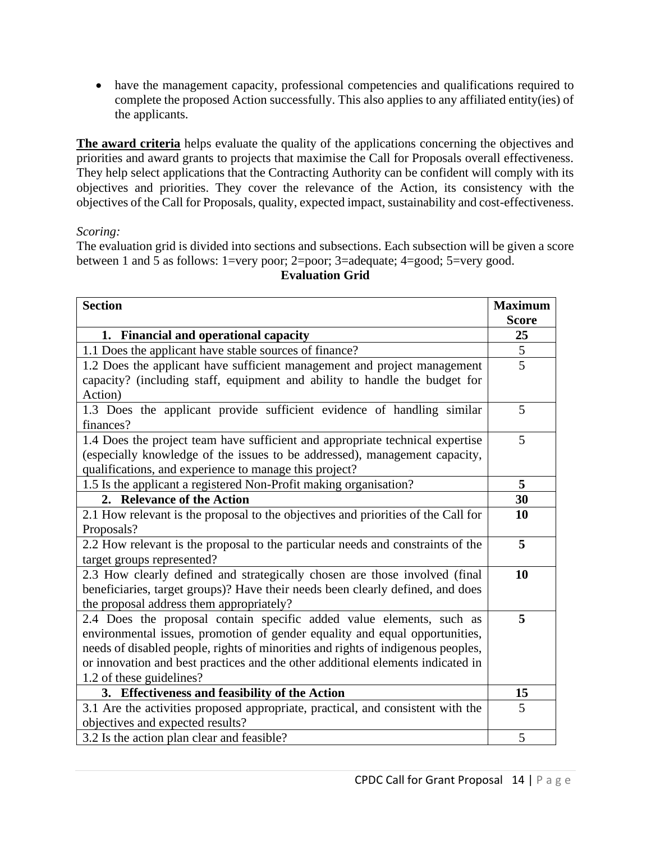• have the management capacity, professional competencies and qualifications required to complete the proposed Action successfully. This also applies to any affiliated entity(ies) of the applicants.

**The award criteria** helps evaluate the quality of the applications concerning the objectives and priorities and award grants to projects that maximise the Call for Proposals overall effectiveness. They help select applications that the Contracting Authority can be confident will comply with its objectives and priorities. They cover the relevance of the Action, its consistency with the objectives of the Call for Proposals, quality, expected impact, sustainability and cost-effectiveness.

#### *Scoring:*

The evaluation grid is divided into sections and subsections. Each subsection will be given a score between 1 and 5 as follows: 1=very poor; 2=poor; 3=adequate; 4=good; 5=very good.

| <b>Section</b>                                                                    | <b>Maximum</b> |  |
|-----------------------------------------------------------------------------------|----------------|--|
|                                                                                   | <b>Score</b>   |  |
| 1. Financial and operational capacity                                             |                |  |
| 1.1 Does the applicant have stable sources of finance?                            | 5              |  |
| 1.2 Does the applicant have sufficient management and project management          | 5              |  |
| capacity? (including staff, equipment and ability to handle the budget for        |                |  |
| Action)                                                                           |                |  |
| 1.3 Does the applicant provide sufficient evidence of handling similar            | 5              |  |
| finances?                                                                         |                |  |
| 1.4 Does the project team have sufficient and appropriate technical expertise     | 5              |  |
| (especially knowledge of the issues to be addressed), management capacity,        |                |  |
| qualifications, and experience to manage this project?                            |                |  |
| 1.5 Is the applicant a registered Non-Profit making organisation?                 | 5<br>30        |  |
| 2. Relevance of the Action                                                        |                |  |
| 2.1 How relevant is the proposal to the objectives and priorities of the Call for | 10             |  |
| Proposals?                                                                        |                |  |
| 2.2 How relevant is the proposal to the particular needs and constraints of the   | 5              |  |
| target groups represented?                                                        | 10             |  |
| 2.3 How clearly defined and strategically chosen are those involved (final        |                |  |
| beneficiaries, target groups)? Have their needs been clearly defined, and does    |                |  |
| the proposal address them appropriately?                                          |                |  |
| 2.4 Does the proposal contain specific added value elements, such as              | 5              |  |
| environmental issues, promotion of gender equality and equal opportunities,       |                |  |
| needs of disabled people, rights of minorities and rights of indigenous peoples,  |                |  |
| or innovation and best practices and the other additional elements indicated in   |                |  |
| 1.2 of these guidelines?                                                          | 15             |  |
| 3. Effectiveness and feasibility of the Action                                    |                |  |
| 3.1 Are the activities proposed appropriate, practical, and consistent with the   |                |  |
| objectives and expected results?                                                  |                |  |
| 3.2 Is the action plan clear and feasible?                                        | 5              |  |

## **Evaluation Grid**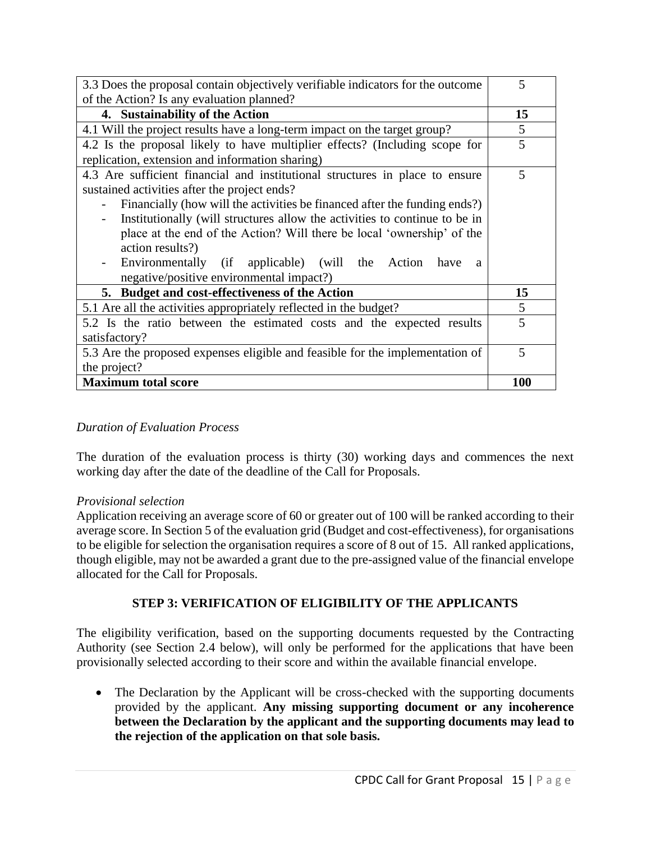| 3.3 Does the proposal contain objectively verifiable indicators for the outcome |  |  |
|---------------------------------------------------------------------------------|--|--|
| of the Action? Is any evaluation planned?                                       |  |  |
| 4. Sustainability of the Action                                                 |  |  |
| 4.1 Will the project results have a long-term impact on the target group?       |  |  |
| 4.2 Is the proposal likely to have multiplier effects? (Including scope for     |  |  |
| replication, extension and information sharing)                                 |  |  |
| 4.3 Are sufficient financial and institutional structures in place to ensure    |  |  |
| sustained activities after the project ends?                                    |  |  |
| Financially (how will the activities be financed after the funding ends?)       |  |  |
| Institutionally (will structures allow the activities to continue to be in      |  |  |
| place at the end of the Action? Will there be local 'ownership' of the          |  |  |
| action results?)                                                                |  |  |
| Environmentally (if applicable) (will the Action<br>have<br>a                   |  |  |
| negative/positive environmental impact?)                                        |  |  |
| 5. Budget and cost-effectiveness of the Action                                  |  |  |
| 5.1 Are all the activities appropriately reflected in the budget?               |  |  |
| 5.2 Is the ratio between the estimated costs and the expected results           |  |  |
| satisfactory?                                                                   |  |  |
| 5.3 Are the proposed expenses eligible and feasible for the implementation of   |  |  |
| the project?                                                                    |  |  |
| <b>Maximum total score</b>                                                      |  |  |

#### *Duration of Evaluation Process*

The duration of the evaluation process is thirty (30) working days and commences the next working day after the date of the deadline of the Call for Proposals.

#### *Provisional selection*

Application receiving an average score of 60 or greater out of 100 will be ranked according to their average score. In Section 5 of the evaluation grid (Budget and cost-effectiveness), for organisations to be eligible for selection the organisation requires a score of 8 out of 15. All ranked applications, though eligible, may not be awarded a grant due to the pre-assigned value of the financial envelope allocated for the Call for Proposals.

#### **STEP 3: VERIFICATION OF ELIGIBILITY OF THE APPLICANTS**

The eligibility verification, based on the supporting documents requested by the Contracting Authority (see Section 2.4 below), will only be performed for the applications that have been provisionally selected according to their score and within the available financial envelope.

• The Declaration by the Applicant will be cross-checked with the supporting documents provided by the applicant. **Any missing supporting document or any incoherence between the Declaration by the applicant and the supporting documents may lead to the rejection of the application on that sole basis.**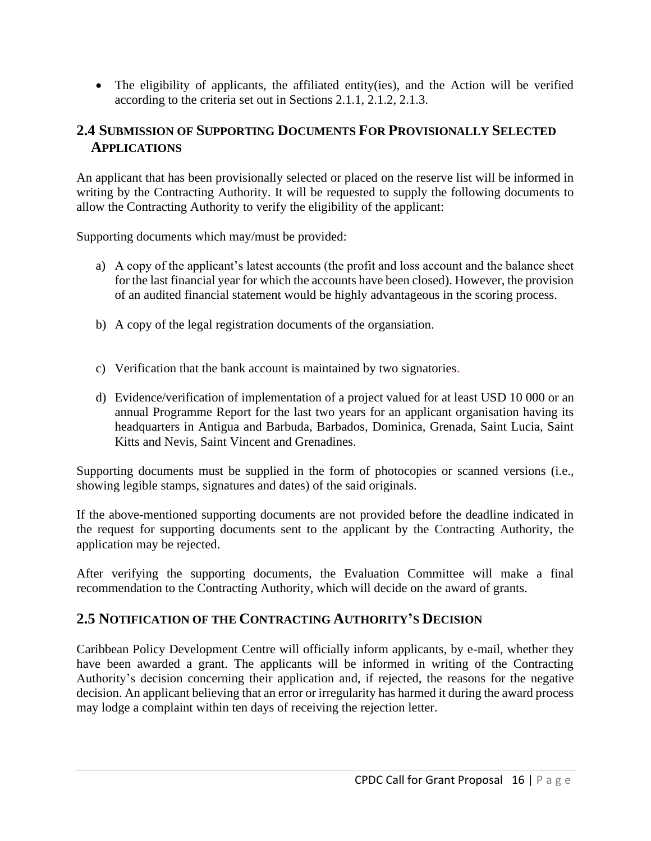• The eligibility of applicants, the affiliated entity(ies), and the Action will be verified according to the criteria set out in Sections 2.1.1, 2.1.2, 2.1.3.

## **2.4 SUBMISSION OF SUPPORTING DOCUMENTS FOR PROVISIONALLY SELECTED APPLICATIONS**

An applicant that has been provisionally selected or placed on the reserve list will be informed in writing by the Contracting Authority. It will be requested to supply the following documents to allow the Contracting Authority to verify the eligibility of the applicant:

Supporting documents which may/must be provided:

- a) A copy of the applicant's latest accounts (the profit and loss account and the balance sheet for the last financial year for which the accounts have been closed). However, the provision of an audited financial statement would be highly advantageous in the scoring process.
- b) A copy of the legal registration documents of the organsiation.
- c) Verification that the bank account is maintained by two signatories.
- d) Evidence/verification of implementation of a project valued for at least USD 10 000 or an annual Programme Report for the last two years for an applicant organisation having its headquarters in Antigua and Barbuda, Barbados, Dominica, Grenada, Saint Lucia, Saint Kitts and Nevis, Saint Vincent and Grenadines.

Supporting documents must be supplied in the form of photocopies or scanned versions (i.e., showing legible stamps, signatures and dates) of the said originals.

If the above-mentioned supporting documents are not provided before the deadline indicated in the request for supporting documents sent to the applicant by the Contracting Authority, the application may be rejected.

After verifying the supporting documents, the Evaluation Committee will make a final recommendation to the Contracting Authority, which will decide on the award of grants.

## **2.5 NOTIFICATION OF THE CONTRACTING AUTHORITY'S DECISION**

Caribbean Policy Development Centre will officially inform applicants, by e-mail, whether they have been awarded a grant. The applicants will be informed in writing of the Contracting Authority's decision concerning their application and, if rejected, the reasons for the negative decision. An applicant believing that an error or irregularity has harmed it during the award process may lodge a complaint within ten days of receiving the rejection letter.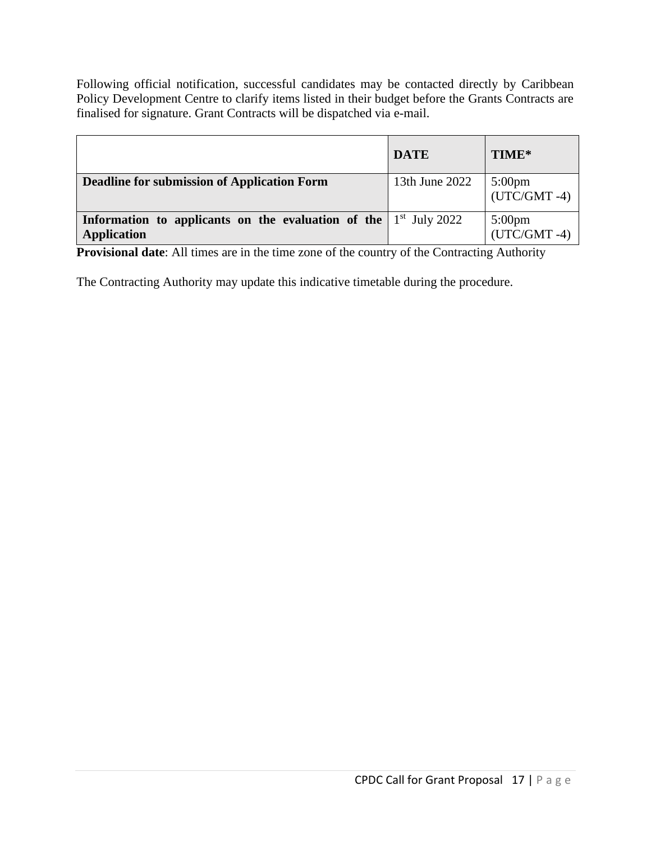Following official notification, successful candidates may be contacted directly by Caribbean Policy Development Centre to clarify items listed in their budget before the Grants Contracts are finalised for signature. Grant Contracts will be dispatched via e-mail.

|                                                                                                 | <b>DATE</b>    | TIME*                    |
|-------------------------------------------------------------------------------------------------|----------------|--------------------------|
| <b>Deadline for submission of Application Form</b>                                              | 13th June 2022 | 5:00pm<br>(UTC/GMT -4)   |
| <b>Information to applicants on the evaluation of the</b> $1st$ July 2022<br><b>Application</b> |                | 5:00pm<br>$(UTC/GMT -4)$ |

**Provisional date:** All times are in the time zone of the country of the Contracting Authority

The Contracting Authority may update this indicative timetable during the procedure.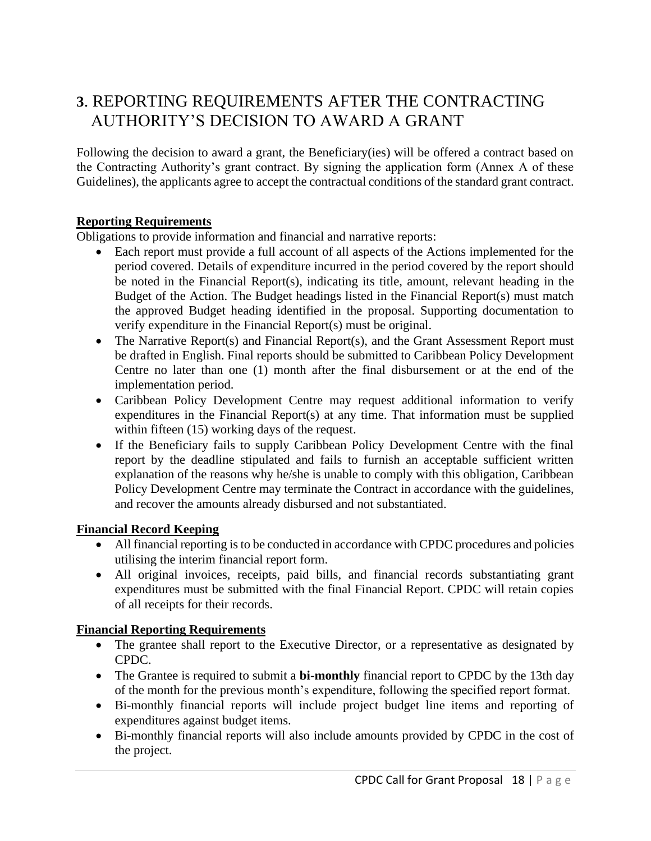# **3**. REPORTING REQUIREMENTS AFTER THE CONTRACTING AUTHORITY'S DECISION TO AWARD A GRANT

Following the decision to award a grant, the Beneficiary(ies) will be offered a contract based on the Contracting Authority's grant contract. By signing the application form (Annex A of these Guidelines), the applicants agree to accept the contractual conditions of the standard grant contract.

#### **Reporting Requirements**

Obligations to provide information and financial and narrative reports:

- Each report must provide a full account of all aspects of the Actions implemented for the period covered. Details of expenditure incurred in the period covered by the report should be noted in the Financial Report(s), indicating its title, amount, relevant heading in the Budget of the Action. The Budget headings listed in the Financial Report(s) must match the approved Budget heading identified in the proposal. Supporting documentation to verify expenditure in the Financial Report(s) must be original.
- The Narrative Report(s) and Financial Report(s), and the Grant Assessment Report must be drafted in English. Final reports should be submitted to Caribbean Policy Development Centre no later than one (1) month after the final disbursement or at the end of the implementation period.
- Caribbean Policy Development Centre may request additional information to verify expenditures in the Financial Report(s) at any time. That information must be supplied within fifteen (15) working days of the request.
- If the Beneficiary fails to supply Caribbean Policy Development Centre with the final report by the deadline stipulated and fails to furnish an acceptable sufficient written explanation of the reasons why he/she is unable to comply with this obligation, Caribbean Policy Development Centre may terminate the Contract in accordance with the guidelines, and recover the amounts already disbursed and not substantiated.

#### **Financial Record Keeping**

- All financial reporting is to be conducted in accordance with CPDC procedures and policies utilising the interim financial report form.
- All original invoices, receipts, paid bills, and financial records substantiating grant expenditures must be submitted with the final Financial Report. CPDC will retain copies of all receipts for their records.

#### **Financial Reporting Requirements**

- The grantee shall report to the Executive Director, or a representative as designated by CPDC.
- The Grantee is required to submit a **bi-monthly** financial report to CPDC by the 13th day of the month for the previous month's expenditure, following the specified report format.
- Bi-monthly financial reports will include project budget line items and reporting of expenditures against budget items.
- Bi-monthly financial reports will also include amounts provided by CPDC in the cost of the project.